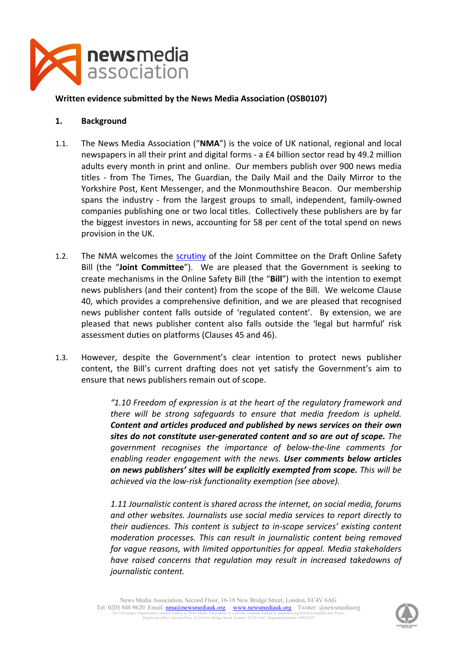

#### **Written evidence submitted by the News Media Association (OSB0107)**

#### **1. Background**

- 1.1. The News Media Association ("**NMA**") is the voice of UK national, regional and local newspapers in all their print and digital forms - a £4 billion sector read by 49.2 million adults every month in print and online. Our members publish over 900 news media titles - from The Times, The Guardian, the Daily Mail and the Daily Mirror to the Yorkshire Post, Kent Messenger, and the Monmouthshire Beacon. Our membership spans the industry - from the largest groups to small, independent, family-owned companies publishing one or two local titles. Collectively these publishers are by far the biggest investors in news, accounting for 58 per cent of the total spend on news provision in the UK.
- 1.2. The NMA welcomes the [scrutiny](https://committees.parliament.uk/call-for-evidence/567/) of the Joint Committee on the Draft Online Safety Bill (the "**Joint Committee**"). We are pleased that the Government is seeking to create mechanisms in the Online Safety Bill (the "**Bill**") with the intention to exempt news publishers (and their content) from the scope of the Bill. We welcome Clause 40, which provides a comprehensive definition, and we are pleased that recognised news publisher content falls outside of 'regulated content'. By extension, we are pleased that news publisher content also falls outside the 'legal but harmful' risk assessment duties on platforms (Clauses 45 and 46).
- 1.3. However, despite the Government's clear intention to protect news publisher content, the Bill's current drafting does not yet satisfy the Government's aim to ensure that news publishers remain out of scope.

*"1.10 Freedom of expression is at the heart of the regulatory framework and there will be strong safeguards to ensure that media freedom is upheld. Content and articles produced and published by news services on their own sites do not constitute user-generated content and so are out of scope. The government recognises the importance of below-the-line comments for enabling reader engagement with the news. User comments below articles on news publishers' sites will be explicitly exempted from scope. This will be achieved via the low-risk functionality exemption (see above).*

*1.11 Journalistic content is shared across the internet, on social media, forums and other websites. Journalists use social media services to report directly to their audiences. This content is subject to in-scope services' existing content moderation processes. This can result in journalistic content being removed for vague reasons, with limited opportunities for appeal. Media stakeholders have raised concerns that regulation may result in increased takedowns of journalistic content.*

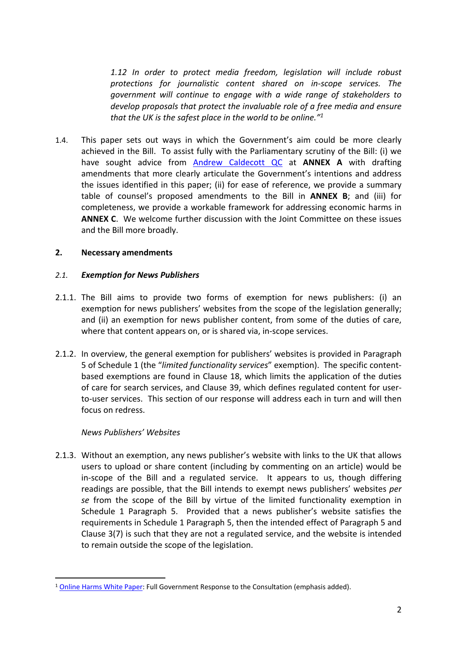*1.12 In order to protect media freedom, legislation will include robust protections for journalistic content shared on in-scope services. The government will continue to engage with a wide range of stakeholders to develop proposals that protect the invaluable role of a free media and ensure that the UK is the safest place in the world to be online."<sup>1</sup>*

1.4. This paper sets out ways in which the Government's aim could be more clearly achieved in the Bill. To assist fully with the Parliamentary scrutiny of the Bill: (i) we have sought advice from [Andrew](https://www.5rb.com/member/andrew-caldecott-qc/) [Caldecott](https://www.5rb.com/member/andrew-caldecott-qc/) [QC](https://www.5rb.com/member/andrew-caldecott-qc/) at **ANNEX A** with drafting amendments that more clearly articulate the Government's intentions and address the issues identified in this paper; (ii) for ease of reference, we provide a summary table of counsel's proposed amendments to the Bill in **ANNEX B**; and (iii) for completeness, we provide a workable framework for addressing economic harms in **ANNEX C**. We welcome further discussion with the Joint Committee on these issues and the Bill more broadly.

#### **2. Necessary amendments**

#### *2.1. Exemption for News Publishers*

- 2.1.1. The Bill aims to provide two forms of exemption for news publishers: (i) an exemption for news publishers' websites from the scope of the legislation generally; and (ii) an exemption for news publisher content, from some of the duties of care, where that content appears on, or is shared via, in-scope services.
- 2.1.2. In overview, the general exemption for publishers' websites is provided in Paragraph 5 of Schedule 1 (the "*limited functionality services*" exemption). The specific contentbased exemptions are found in Clause 18, which limits the application of the duties of care for search services, and Clause 39, which defines regulated content for userto-user services. This section of our response will address each in turn and will then focus on redress.

#### *News Publishers' Websites*

2.1.3. Without an exemption, any news publisher's website with links to the UK that allows users to upload or share content (including by commenting on an article) would be in-scope of the Bill and a regulated service. It appears to us, though differing readings are possible, that the Bill intends to exempt news publishers' websites *per se* from the scope of the Bill by virtue of the limited functionality exemption in Schedule 1 Paragraph 5. Provided that a news publisher's website satisfies the requirements in Schedule 1 Paragraph 5, then the intended effect of Paragraph 5 and Clause 3(7) is such that they are not a regulated service, and the website is intended to remain outside the scope of the legislation.

<sup>1</sup> [Online](https://www.gov.uk/government/consultations/online-harms-white-paper/outcome/online-harms-white-paper-full-government-response#part-1-who-will-the-new-regulatory-framework-apply-to) [Harms](https://www.gov.uk/government/consultations/online-harms-white-paper/outcome/online-harms-white-paper-full-government-response#part-1-who-will-the-new-regulatory-framework-apply-to) [White](https://www.gov.uk/government/consultations/online-harms-white-paper/outcome/online-harms-white-paper-full-government-response#part-1-who-will-the-new-regulatory-framework-apply-to) [Paper:](https://www.gov.uk/government/consultations/online-harms-white-paper/outcome/online-harms-white-paper-full-government-response#part-1-who-will-the-new-regulatory-framework-apply-to) Full Government Response to the Consultation (emphasis added).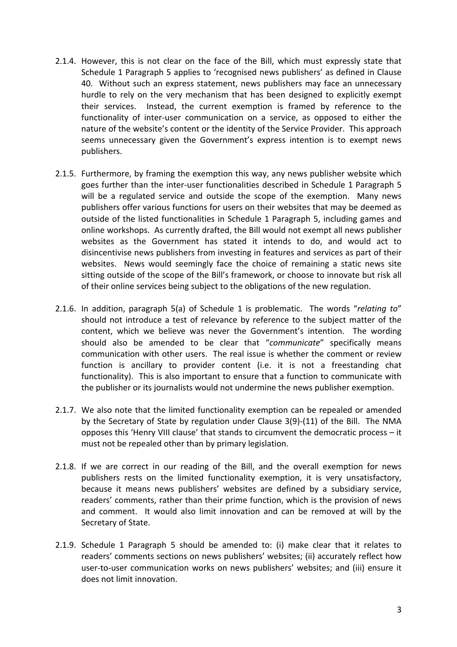- 2.1.4. However, this is not clear on the face of the Bill, which must expressly state that Schedule 1 Paragraph 5 applies to 'recognised news publishers' as defined in Clause 40. Without such an express statement, news publishers may face an unnecessary hurdle to rely on the very mechanism that has been designed to explicitly exempt their services. Instead, the current exemption is framed by reference to the functionality of inter-user communication on a service, as opposed to either the nature of the website's content or the identity of the Service Provider. This approach seems unnecessary given the Government's express intention is to exempt news publishers.
- 2.1.5. Furthermore, by framing the exemption this way, any news publisher website which goes further than the inter-user functionalities described in Schedule 1 Paragraph 5 will be a regulated service and outside the scope of the exemption. Many news publishers offer various functions for users on their websites that may be deemed as outside of the listed functionalities in Schedule 1 Paragraph 5, including games and online workshops. As currently drafted, the Bill would not exempt all news publisher websites as the Government has stated it intends to do, and would act to disincentivise news publishers from investing in features and services as part of their websites. News would seemingly face the choice of remaining a static news site sitting outside of the scope of the Bill's framework, or choose to innovate but risk all of their online services being subject to the obligations of the new regulation.
- 2.1.6. In addition, paragraph 5(a) of Schedule 1 is problematic. The words "*relating to*" should not introduce a test of relevance by reference to the subject matter of the content, which we believe was never the Government's intention. The wording should also be amended to be clear that "*communicate*" specifically means communication with other users. The real issue is whether the comment or review function is ancillary to provider content (i.e. it is not a freestanding chat functionality). This is also important to ensure that a function to communicate with the publisher or its journalists would not undermine the news publisher exemption.
- 2.1.7. We also note that the limited functionality exemption can be repealed or amended by the Secretary of State by regulation under Clause 3(9)-(11) of the Bill. The NMA opposes this 'Henry VIII clause' that stands to circumvent the democratic process – it must not be repealed other than by primary legislation.
- 2.1.8. If we are correct in our reading of the Bill, and the overall exemption for news publishers rests on the limited functionality exemption, it is very unsatisfactory, because it means news publishers' websites are defined by a subsidiary service, readers' comments, rather than their prime function, which is the provision of news and comment. It would also limit innovation and can be removed at will by the Secretary of State.
- 2.1.9. Schedule 1 Paragraph 5 should be amended to: (i) make clear that it relates to readers' comments sections on news publishers' websites; (ii) accurately reflect how user-to-user communication works on news publishers' websites; and (iii) ensure it does not limit innovation.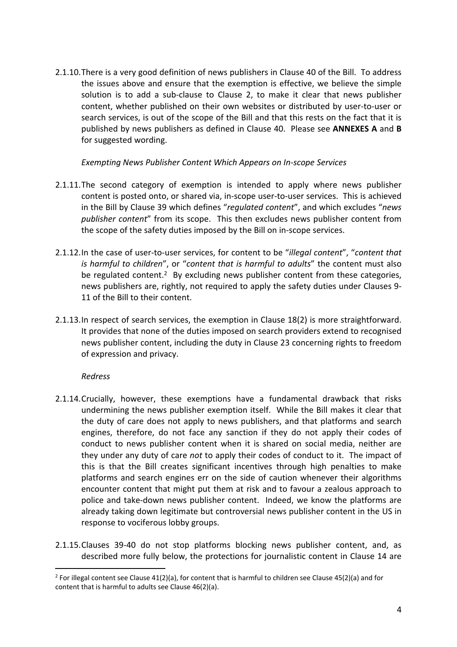<span id="page-3-0"></span>2.1.10.There is a very good definition of news publishers in Clause 40 of the Bill. To address the issues above and ensure that the exemption is effective, we believe the simple solution is to add a sub-clause to Clause 2, to make it clear that news publisher content, whether published on their own websites or distributed by user-to-user or search services, is out of the scope of the Bill and that this rests on the fact that it is published by news publishers as defined in Clause 40. Please see **ANNEXES A** and **B** for suggested wording.

#### *Exempting News Publisher Content Which Appears on In-scope Services*

- 2.1.11.The second category of exemption is intended to apply where news publisher content is posted onto, or shared via, in-scope user-to-user services. This is achieved in the Bill by Clause 39 which defines "*regulated content*", and which excludes "*news publisher content*" from its scope. This then excludes news publisher content from the scope of the safety duties imposed by the Bill on in-scope services.
- 2.1.12.In the case of user-to-user services, for content to be "*illegal content*", "*content that is harmful to children*", or "*content that is harmful to adults*" the content must also be regulated content.<sup>2</sup> By excluding news publisher content from these categories, news publishers are, rightly, not required to apply the safety duties under Clauses 9- 11 of the Bill to their content.
- 2.1.13.In respect of search services, the exemption in Clause 18(2) is more straightforward. It provides that none of the duties imposed on search providers extend to recognised news publisher content, including the duty in Clause 23 concerning rights to freedom of expression and privacy.

## *Redress*

- 2.1.14.Crucially, however, these exemptions have a fundamental drawback that risks undermining the news publisher exemption itself. While the Bill makes it clear that the duty of care does not apply to news publishers, and that platforms and search engines, therefore, do not face any sanction if they do not apply their codes of conduct to news publisher content when it is shared on social media, neither are they under any duty of care *not* to apply their codes of conduct to it. The impact of this is that the Bill creates significant incentives through high penalties to make platforms and search engines err on the side of caution whenever their algorithms encounter content that might put them at risk and to favour a zealous approach to police and take-down news publisher content. Indeed, we know the platforms are already taking down legitimate but controversial news publisher content in the US in response to vociferous lobby groups.
- 2.1.15.Clauses 39-40 do not stop platforms blocking news publisher content, and, as described more fully below, the protections for journalistic content in Clause 14 are

<sup>&</sup>lt;sup>2</sup> For illegal content see Clause 41(2)(a), for content that is harmful to children see Clause 45(2)(a) and for content that is harmful to adults see Clause 46(2)(a).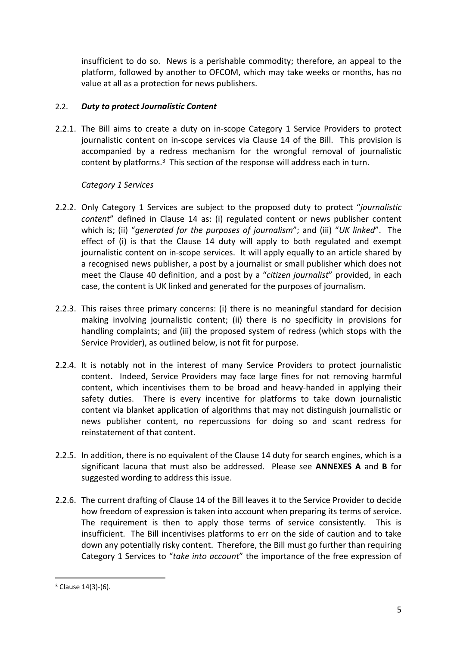insufficient to do so. News is a perishable commodity; therefore, an appeal to the platform, followed by another to OFCOM, which may take weeks or months, has no value at all as a protection for news publishers.

# 2.2. *Duty to protect Journalistic Content*

2.2.1. The Bill aims to create a duty on in-scope Category 1 Service Providers to protect journalistic content on in-scope services via Clause 14 of the Bill. This provision is accompanied by a redress mechanism for the wrongful removal of journalistic content by platforms.<sup>3</sup> This section of the response will address each in turn.

# *Category 1 Services*

- 2.2.2. Only Category 1 Services are subject to the proposed duty to protect "*journalistic content*" defined in Clause 14 as: (i) regulated content or news publisher content which is; (ii) "*generated for the purposes of journalism*"; and (iii) "*UK linked*". The effect of (i) is that the Clause 14 duty will apply to both regulated and exempt journalistic content on in-scope services. It will apply equally to an article shared by a recognised news publisher, a post by a journalist or small publisher which does not meet the Clause 40 definition, and a post by a "*citizen journalist*" provided, in each case, the content is UK linked and generated for the purposes of journalism.
- 2.2.3. This raises three primary concerns: (i) there is no meaningful standard for decision making involving journalistic content; (ii) there is no specificity in provisions for handling complaints; and (iii) the proposed system of redress (which stops with the Service Provider), as outlined below, is not fit for purpose.
- 2.2.4. It is notably not in the interest of many Service Providers to protect journalistic content. Indeed, Service Providers may face large fines for not removing harmful content, which incentivises them to be broad and heavy-handed in applying their safety duties. There is every incentive for platforms to take down journalistic content via blanket application of algorithms that may not distinguish journalistic or news publisher content, no repercussions for doing so and scant redress for reinstatement of that content.
- 2.2.5. In addition, there is no equivalent of the Clause 14 duty for search engines, which is a significant lacuna that must also be addressed. Please see **ANNEXES A** and **B** for suggested wording to address this issue.
- 2.2.6. The current drafting of Clause 14 of the Bill leaves it to the Service Provider to decide how freedom of expression is taken into account when preparing its terms of service. The requirement is then to apply those terms of service consistently. This is insufficient. The Bill incentivises platforms to err on the side of caution and to take down any potentially risky content. Therefore, the Bill must go further than requiring Category 1 Services to "*take into account*" the importance of the free expression of

<sup>3</sup> Clause 14(3)-(6).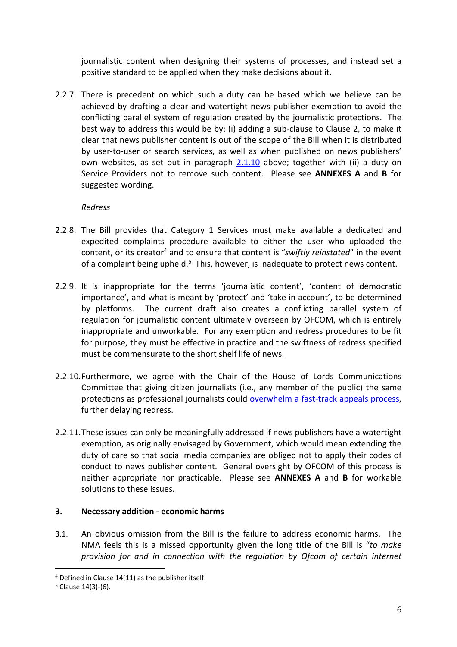journalistic content when designing their systems of processes, and instead set a positive standard to be applied when they make decisions about it.

2.2.7. There is precedent on which such a duty can be based which we believe can be achieved by drafting a clear and watertight news publisher exemption to avoid the conflicting parallel system of regulation created by the journalistic protections. The best way to address this would be by: (i) adding a sub-clause to Clause 2, to make it clear that news publisher content is out of the scope of the Bill when it is distributed by user-to-user or search services, as well as when published on news publishers' own websites, as set out in paragraph [2.1.10](#page-3-0) above; together with (ii) a duty on Service Providers not to remove such content. Please see **ANNEXES A** and **B** for suggested wording.

# *Redress*

- 2.2.8. The Bill provides that Category 1 Services must make available a dedicated and expedited complaints procedure available to either the user who uploaded the content, or its creator<sup>4</sup> and to ensure that content is "*swiftly reinstated*" in the event of a complaint being upheld.<sup>5</sup> This, however, is inadequate to protect news content.
- 2.2.9. It is inappropriate for the terms 'journalistic content', 'content of democratic importance', and what is meant by 'protect' and 'take in account', to be determined by platforms. The current draft also creates a conflicting parallel system of regulation for journalistic content ultimately overseen by OFCOM, which is entirely inappropriate and unworkable. For any exemption and redress procedures to be fit for purpose, they must be effective in practice and the swiftness of redress specified must be commensurate to the short shelf life of news.
- 2.2.10.Furthermore, we agree with the Chair of the House of Lords Communications Committee that giving citizen journalists (i.e., any member of the public) the same protections as professional journalists could [overwhelm](https://committees.parliament.uk/publications/6025/documents/68088/default/) [a](https://committees.parliament.uk/publications/6025/documents/68088/default/) [fast-track](https://committees.parliament.uk/publications/6025/documents/68088/default/) [appeals](https://committees.parliament.uk/publications/6025/documents/68088/default/) [process](https://committees.parliament.uk/publications/6025/documents/68088/default/), further delaying redress.
- 2.2.11.These issues can only be meaningfully addressed if news publishers have a watertight exemption, as originally envisaged by Government, which would mean extending the duty of care so that social media companies are obliged not to apply their codes of conduct to news publisher content. General oversight by OFCOM of this process is neither appropriate nor practicable. Please see **ANNEXES A** and **B** for workable solutions to these issues.

# **3. Necessary addition - economic harms**

3.1. An obvious omission from the Bill is the failure to address economic harms. The NMA feels this is a missed opportunity given the long title of the Bill is "*to make provision for and in connection with the regulation by Ofcom of certain internet*

<sup>4</sup> Defined in Clause 14(11) as the publisher itself.

<sup>5</sup> Clause 14(3)-(6).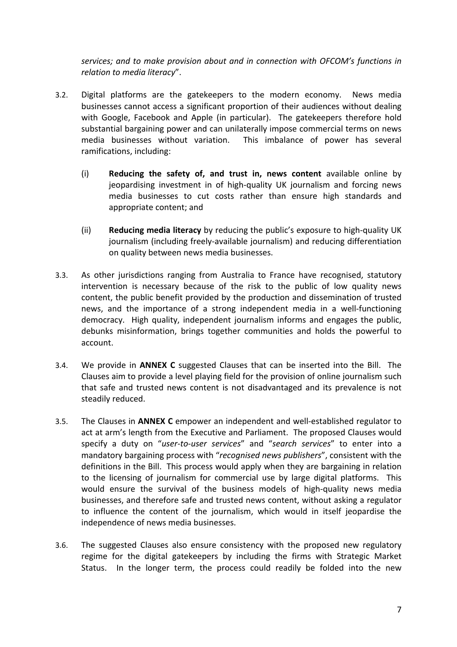*services; and to make provision about and in connection with OFCOM's functions in relation to media literacy*".

- 3.2. Digital platforms are the gatekeepers to the modern economy. News media businesses cannot access a significant proportion of their audiences without dealing with Google, Facebook and Apple (in particular). The gatekeepers therefore hold substantial bargaining power and can unilaterally impose commercial terms on news media businesses without variation. This imbalance of power has several ramifications, including:
	- (i) **Reducing the safety of, and trust in, news content** available online by jeopardising investment in of high-quality UK journalism and forcing news media businesses to cut costs rather than ensure high standards and appropriate content; and
	- (ii) **Reducing media literacy** by reducing the public's exposure to high-quality UK journalism (including freely-available journalism) and reducing differentiation on quality between news media businesses.
- 3.3. As other jurisdictions ranging from Australia to France have recognised, statutory intervention is necessary because of the risk to the public of low quality news content, the public benefit provided by the production and dissemination of trusted news, and the importance of a strong independent media in a well-functioning democracy. High quality, independent journalism informs and engages the public, debunks misinformation, brings together communities and holds the powerful to account.
- 3.4. We provide in **ANNEX C** suggested Clauses that can be inserted into the Bill. The Clauses aim to provide a level playing field for the provision of online journalism such that safe and trusted news content is not disadvantaged and its prevalence is not steadily reduced.
- 3.5. The Clauses in **ANNEX C** empower an independent and well-established regulator to act at arm's length from the Executive and Parliament. The proposed Clauses would specify a duty on "*user-to-user services*" and "*search services*" to enter into a mandatory bargaining process with "*recognised news publishers*", consistent with the definitions in the Bill. This process would apply when they are bargaining in relation to the licensing of journalism for commercial use by large digital platforms. This would ensure the survival of the business models of high-quality news media businesses, and therefore safe and trusted news content, without asking a regulator to influence the content of the journalism, which would in itself jeopardise the independence of news media businesses.
- 3.6. The suggested Clauses also ensure consistency with the proposed new regulatory regime for the digital gatekeepers by including the firms with Strategic Market Status. In the longer term, the process could readily be folded into the new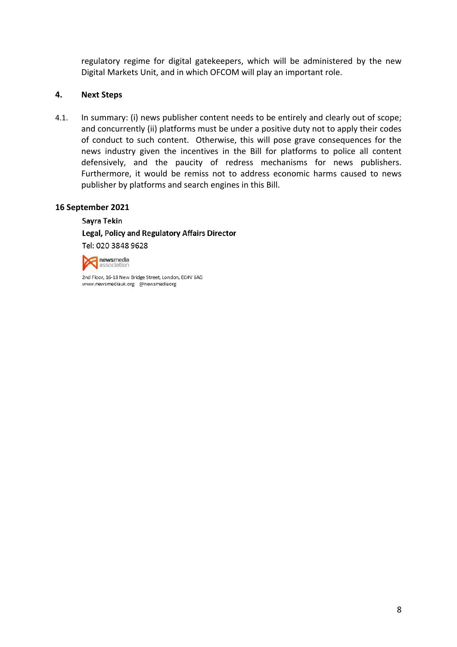regulatory regime for digital gatekeepers, which will be administered by the new Digital Markets Unit, and in which OFCOM will play an important role.

#### **4. Next Steps**

4.1. In summary: (i) news publisher content needs to be entirely and clearly out of scope; and concurrently (ii) platforms must be under a positive duty not to apply their codes of conduct to such content. Otherwise, this will pose grave consequences for the news industry given the incentives in the Bill for platforms to police all content defensively, and the paucity of redress mechanisms for news publishers. Furthermore, it would be remiss not to address economic harms caused to news publisher by platforms and search engines in this Bill.

#### **16 September 2021**

Sayra Tekin Legal, Policy and Regulatory Affairs Director Tel: 020 3848 9628



2nd Floor, 16-18 New Bridge Street, London, EC4V 6AG www.newsmediauk.org @newsmediaorg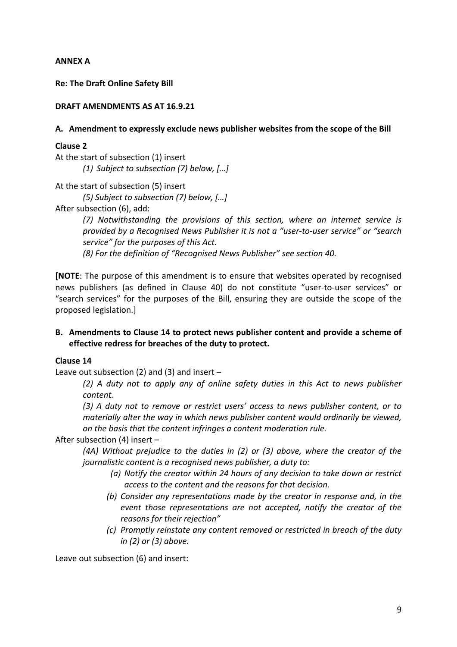### **ANNEX A**

**Re: The Draft Online Safety Bill**

#### **DRAFT AMENDMENTS AS AT 16.9.21**

#### **A. Amendment to expressly exclude news publisher websites from the scope of the Bill**

#### **Clause 2**

At the start of subsection (1) insert *(1) Subject to subsection (7) below, […]*

At the start of subsection (5) insert

*(5) Subject to subsection (7) below, […]*

After subsection (6), add:

*(7) Notwithstanding the provisions of this section, where an internet service is provided by a Recognised News Publisher it is not a "user-to-user service" or "search service" for the purposes of this Act.*

*(8) For the definition of "Recognised News Publisher" see section 40.* 

**[NOTE**: The purpose of this amendment is to ensure that websites operated by recognised news publishers (as defined in Clause 40) do not constitute "user-to-user services" or "search services" for the purposes of the Bill, ensuring they are outside the scope of the proposed legislation.]

## **B. Amendments to Clause 14 to protect news publisher content and provide a scheme of effective redress for breaches of the duty to protect.**

#### **Clause 14**

Leave out subsection (2) and (3) and insert  $-$ 

*(2) A duty not to apply any of online safety duties in this Act to news publisher content.*

*(3) A duty not to remove or restrict users' access to news publisher content, or to materially alter the way in which news publisher content would ordinarily be viewed, on the basis that the content infringes a content moderation rule.*

After subsection (4) insert –

*(4A) Without prejudice to the duties in (2) or (3) above, where the creator of the journalistic content is a recognised news publisher, a duty to:*

- *(a) Notify the creator within 24 hours of any decision to take down or restrict access to the content and the reasons for that decision.*
- *(b) Consider any representations made by the creator in response and, in the event those representations are not accepted, notify the creator of the reasons for their rejection"*
- *(c) Promptly reinstate any content removed or restricted in breach of the duty in (2) or (3) above.*

Leave out subsection (6) and insert: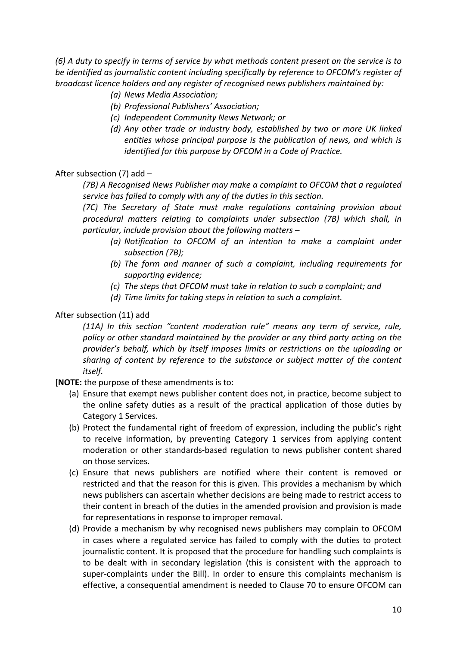(6) A duty to specify in terms of service by what methods content present on the service is to *be identified as journalistic content including specifically by reference to OFCOM's register of broadcast licence holders and any register of recognised news publishers maintained by:*

- *(a) News Media Association;*
- *(b) Professional Publishers' Association;*
- *(c) Independent Community News Network; or*
- *(d) Any other trade or industry body, established by two or more UK linked entities whose principal purpose is the publication of news, and which is identified for this purpose by OFCOM in a Code of Practice.*

## After subsection (7) add –

*(7B) A Recognised News Publisher may make a complaint to OFCOM that a regulated service has failed to comply with any of the duties in this section.*

*(7C) The Secretary of State must make regulations containing provision about procedural matters relating to complaints under subsection (7B) which shall, in particular, include provision about the following matters –*

- *(a) Notification to OFCOM of an intention to make a complaint under subsection (7B);*
- *(b) The form and manner of such a complaint, including requirements for supporting evidence;*
- *(c) The steps that OFCOM must take in relation to such a complaint; and*
- *(d) Time limits for taking steps in relation to such a complaint.*

# After subsection (11) add

*(11A) In this section "content moderation rule" means any term of service, rule, policy or other standard maintained by the provider or any third party acting on the provider's behalf, which by itself imposes limits or restrictions on the uploading or sharing of content by reference to the substance or subject matter of the content itself.*

[**NOTE:** the purpose of these amendments is to:

- (a) Ensure that exempt news publisher content does not, in practice, become subject to the online safety duties as a result of the practical application of those duties by Category 1 Services.
- (b) Protect the fundamental right of freedom of expression, including the public's right to receive information, by preventing Category 1 services from applying content moderation or other standards-based regulation to news publisher content shared on those services.
- (c) Ensure that news publishers are notified where their content is removed or restricted and that the reason for this is given. This provides a mechanism by which news publishers can ascertain whether decisions are being made to restrict access to their content in breach of the duties in the amended provision and provision is made for representations in response to improper removal.
- (d) Provide a mechanism by why recognised news publishers may complain to OFCOM in cases where a regulated service has failed to comply with the duties to protect journalistic content. It is proposed that the procedure for handling such complaints is to be dealt with in secondary legislation (this is consistent with the approach to super-complaints under the Bill). In order to ensure this complaints mechanism is effective, a consequential amendment is needed to Clause 70 to ensure OFCOM can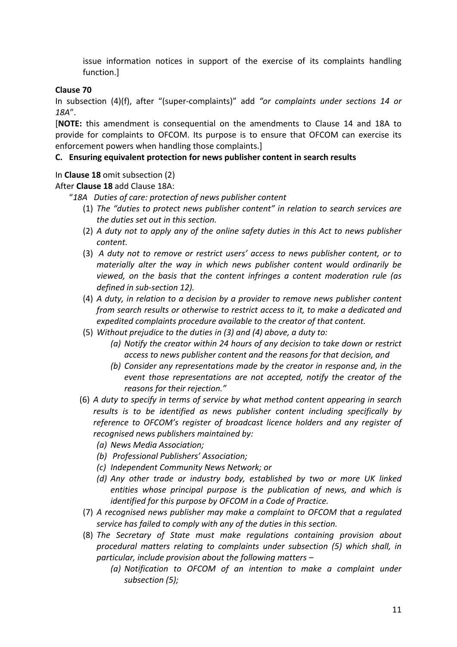issue information notices in support of the exercise of its complaints handling function.]

# **Clause 70**

In subsection (4)(f), after "(super-complaints)" add *"or complaints under sections 14 or 18A*".

[**NOTE:** this amendment is consequential on the amendments to Clause 14 and 18A to provide for complaints to OFCOM. Its purpose is to ensure that OFCOM can exercise its enforcement powers when handling those complaints.]

## **C. Ensuring equivalent protection for news publisher content in search results**

# In **Clause 18** omit subsection (2)

After **Clause 18** add Clause 18A:

- "*18A Duties of care: protection of news publisher content*
	- (1) *The "duties to protect news publisher content" in relation to search services are the duties set out in this section.*
	- (2) *A duty not to apply any of the online safety duties in this Act to news publisher content.*
	- (3) *A duty not to remove or restrict users' access to news publisher content, or to materially alter the way in which news publisher content would ordinarily be viewed, on the basis that the content infringes a content moderation rule (as defined in sub-section 12).*
	- (4) *A duty, in relation to a decision by a provider to remove news publisher content from search results or otherwise to restrict access to it, to make a dedicated and expedited complaints procedure available to the creator of that content.*
	- (5) *Without prejudice to the duties in (3) and (4) above, a duty to:*
		- *(a) Notify the creator within 24 hours of any decision to take down or restrict access to news publisher content and the reasons for that decision, and*
		- *(b) Consider any representations made by the creator in response and, in the event those representations are not accepted, notify the creator of the reasons for their rejection."*
	- (6) *A duty to specify in terms of service by what method content appearing in search results is to be identified as news publisher content including specifically by reference to OFCOM's register of broadcast licence holders and any register of recognised news publishers maintained by:*
		- *(a) News Media Association;*
		- *(b) Professional Publishers' Association;*
		- *(c) Independent Community News Network; or*
		- *(d) Any other trade or industry body, established by two or more UK linked entities whose principal purpose is the publication of news, and which is identified for this purpose by OFCOM in a Code of Practice.*
	- (7) *A recognised news publisher may make a complaint to OFCOM that a regulated service has failed to comply with any of the duties in this section.*
	- (8) *The Secretary of State must make regulations containing provision about procedural matters relating to complaints under subsection (5) which shall, in particular, include provision about the following matters –*
		- *(a) Notification to OFCOM of an intention to make a complaint under subsection (5);*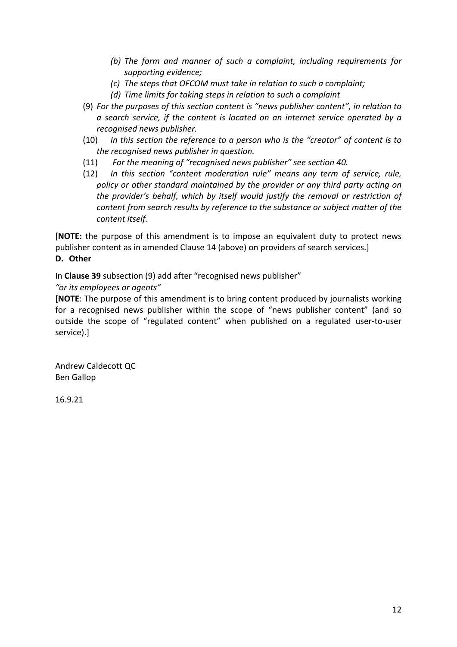- *(b) The form and manner of such a complaint, including requirements for supporting evidence;*
- *(c) The steps that OFCOM must take in relation to such a complaint;*
- *(d) Time limits for taking steps in relation to such a complaint*
- (9) *For the purposes of this section content is "news publisher content", in relation to a search service, if the content is located on an internet service operated by a recognised news publisher.*
- (10) *In this section the reference to a person who is the "creator" of content is to the recognised news publisher in question.*
- (11) *For the meaning of "recognised news publisher" see section 40.*
- (12) *In this section "content moderation rule" means any term of service, rule, policy or other standard maintained by the provider or any third party acting on the provider's behalf, which by itself would justify the removal or restriction of content from search results by reference to the substance or subject matter of the content itself.*

[**NOTE:** the purpose of this amendment is to impose an equivalent duty to protect news publisher content as in amended Clause 14 (above) on providers of search services.] **D. Other**

In **Clause 39** subsection (9) add after "recognised news publisher"

*"or its employees or agents"*

[**NOTE**: The purpose of this amendment is to bring content produced by journalists working for a recognised news publisher within the scope of "news publisher content" (and so outside the scope of "regulated content" when published on a regulated user-to-user service).]

Andrew Caldecott QC Ben Gallop

16.9.21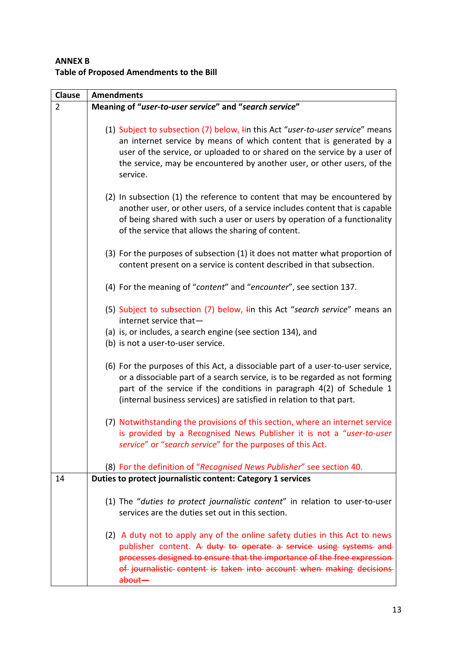# **ANNEX B Table of Proposed Amendments to the Bill**

| <b>Clause</b> | <b>Amendments</b>                                                                                                                                              |
|---------------|----------------------------------------------------------------------------------------------------------------------------------------------------------------|
| 2             | Meaning of "user-to-user service" and "search service"                                                                                                         |
|               |                                                                                                                                                                |
|               | (1) Subject to subsection (7) below, I in this Act "user-to-user service" means                                                                                |
|               | an internet service by means of which content that is generated by a                                                                                           |
|               | user of the service, or uploaded to or shared on the service by a user of                                                                                      |
|               | the service, may be encountered by another user, or other users, of the<br>service.                                                                            |
|               |                                                                                                                                                                |
|               | (2) In subsection (1) the reference to content that may be encountered by                                                                                      |
|               | another user, or other users, of a service includes content that is capable                                                                                    |
|               | of being shared with such a user or users by operation of a functionality                                                                                      |
|               | of the service that allows the sharing of content.                                                                                                             |
|               | (3) For the purposes of subsection (1) it does not matter what proportion of                                                                                   |
|               | content present on a service is content described in that subsection.                                                                                          |
|               |                                                                                                                                                                |
|               | (4) For the meaning of "content" and "encounter", see section 137.                                                                                             |
|               | (5) Subject to subsection (7) below, lin this Act "search service" means an                                                                                    |
|               | internet service that-                                                                                                                                         |
|               | (a) is, or includes, a search engine (see section 134), and                                                                                                    |
|               | (b) is not a user-to-user service.                                                                                                                             |
|               |                                                                                                                                                                |
|               | (6) For the purposes of this Act, a dissociable part of a user-to-user service,<br>or a dissociable part of a search service, is to be regarded as not forming |
|               | part of the service if the conditions in paragraph 4(2) of Schedule 1                                                                                          |
|               | (internal business services) are satisfied in relation to that part.                                                                                           |
|               |                                                                                                                                                                |
|               | (7) Notwithstanding the provisions of this section, where an internet service                                                                                  |
|               | is provided by a Recognised News Publisher it is not a "user-to-user                                                                                           |
|               | service" or "search service" for the purposes of this Act.                                                                                                     |
|               | (8) For the definition of "Recognised News Publisher" see section 40.                                                                                          |
| 14            | Duties to protect journalistic content: Category 1 services                                                                                                    |
|               |                                                                                                                                                                |
|               | (1) The "duties to protect journalistic content" in relation to user-to-user                                                                                   |
|               | services are the duties set out in this section.                                                                                                               |
|               | (2) A duty not to apply any of the online safety duties in this Act to news                                                                                    |
|               | publisher content. A duty to operate a service using systems and                                                                                               |
|               | processes designed to ensure that the importance of the free expression-                                                                                       |
|               | of journalistic content is taken into account when making decisions                                                                                            |
|               | about-                                                                                                                                                         |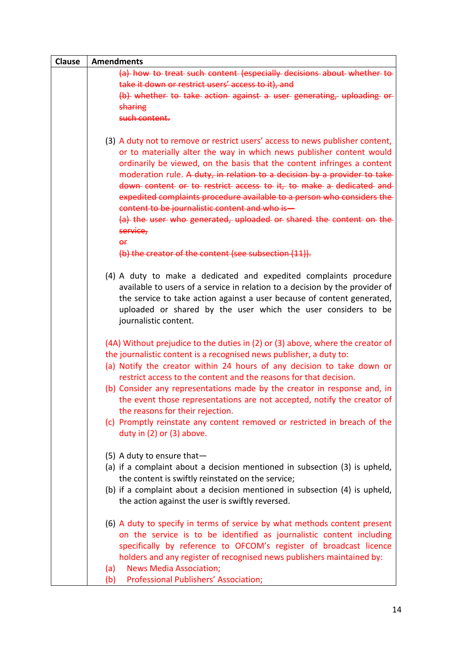| <b>Clause</b> | <b>Amendments</b>                                                                                                                                                                                                                                                                                                                                                                                                                                                                                                                                                                                                                                                     |
|---------------|-----------------------------------------------------------------------------------------------------------------------------------------------------------------------------------------------------------------------------------------------------------------------------------------------------------------------------------------------------------------------------------------------------------------------------------------------------------------------------------------------------------------------------------------------------------------------------------------------------------------------------------------------------------------------|
|               | (a) how to treat such content (especially decisions about whether to<br>take it down or restrict users' access to it), and                                                                                                                                                                                                                                                                                                                                                                                                                                                                                                                                            |
|               | (b) whether to take action against a user generating, uploading or<br>sharing                                                                                                                                                                                                                                                                                                                                                                                                                                                                                                                                                                                         |
|               | such content.                                                                                                                                                                                                                                                                                                                                                                                                                                                                                                                                                                                                                                                         |
|               | (3) A duty not to remove or restrict users' access to news publisher content,<br>or to materially alter the way in which news publisher content would<br>ordinarily be viewed, on the basis that the content infringes a content<br>moderation rule. A duty, in relation to a decision by a provider to take<br>down content or to restrict access to it, to make a dedicated and<br>expedited complaints procedure available to a person who considers the<br>content to be journalistic content and who is-<br>(a) the user who generated, uploaded or shared the content on the<br>service,<br>$\theta$ f<br>(b) the creator of the content (see subsection (11)). |
|               |                                                                                                                                                                                                                                                                                                                                                                                                                                                                                                                                                                                                                                                                       |
|               | (4) A duty to make a dedicated and expedited complaints procedure<br>available to users of a service in relation to a decision by the provider of<br>the service to take action against a user because of content generated,<br>uploaded or shared by the user which the user considers to be<br>journalistic content.                                                                                                                                                                                                                                                                                                                                                |
|               | (4A) Without prejudice to the duties in (2) or (3) above, where the creator of<br>the journalistic content is a recognised news publisher, a duty to:<br>(a) Notify the creator within 24 hours of any decision to take down or<br>restrict access to the content and the reasons for that decision.<br>(b) Consider any representations made by the creator in response and, in<br>the event those representations are not accepted, notify the creator of<br>the reasons for their rejection.<br>(c) Promptly reinstate any content removed or restricted in breach of the<br>duty in (2) or (3) above.                                                             |
|               | $(5)$ A duty to ensure that -<br>(a) if a complaint about a decision mentioned in subsection (3) is upheld,<br>the content is swiftly reinstated on the service;<br>(b) if a complaint about a decision mentioned in subsection (4) is upheld,<br>the action against the user is swiftly reversed.                                                                                                                                                                                                                                                                                                                                                                    |
|               | (6) A duty to specify in terms of service by what methods content present<br>on the service is to be identified as journalistic content including<br>specifically by reference to OFCOM's register of broadcast licence<br>holders and any register of recognised news publishers maintained by:<br><b>News Media Association;</b><br>(a)<br>Professional Publishers' Association;<br>(b)                                                                                                                                                                                                                                                                             |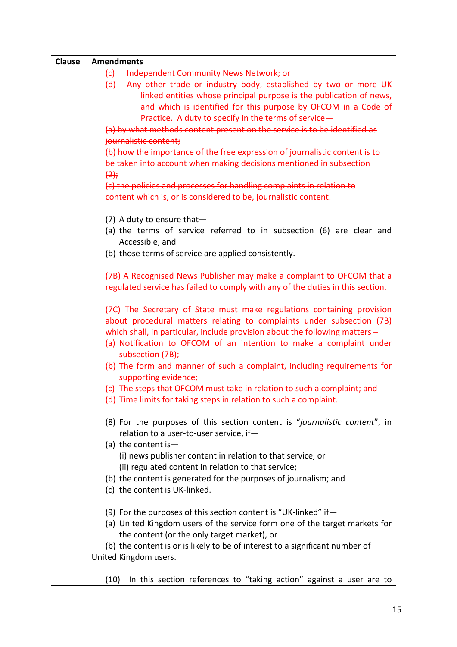| <b>Clause</b> | <b>Amendments</b>                                                                                                                            |
|---------------|----------------------------------------------------------------------------------------------------------------------------------------------|
|               | <b>Independent Community News Network; or</b><br>(c)                                                                                         |
|               | Any other trade or industry body, established by two or more UK<br>(d)                                                                       |
|               | linked entities whose principal purpose is the publication of news,                                                                          |
|               | and which is identified for this purpose by OFCOM in a Code of                                                                               |
|               | Practice. A duty to specify in the terms of service-                                                                                         |
|               | (a) by what methods content present on the service is to be identified as                                                                    |
|               | journalistic content;                                                                                                                        |
|               | (b) how the importance of the free expression of journalistic content is to                                                                  |
|               | be taken into account when making decisions mentioned in subsection                                                                          |
|               | (2)                                                                                                                                          |
|               | (c) the policies and processes for handling complaints in relation to                                                                        |
|               | content which is, or is considered to be, journalistic content.                                                                              |
|               |                                                                                                                                              |
|               | (7) A duty to ensure that $-$                                                                                                                |
|               | (a) the terms of service referred to in subsection (6) are clear and                                                                         |
|               | Accessible, and                                                                                                                              |
|               | (b) those terms of service are applied consistently.                                                                                         |
|               |                                                                                                                                              |
|               | (7B) A Recognised News Publisher may make a complaint to OFCOM that a                                                                        |
|               | regulated service has failed to comply with any of the duties in this section.                                                               |
|               |                                                                                                                                              |
|               | (7C) The Secretary of State must make regulations containing provision                                                                       |
|               | about procedural matters relating to complaints under subsection (7B)                                                                        |
|               | which shall, in particular, include provision about the following matters $-$                                                                |
|               | (a) Notification to OFCOM of an intention to make a complaint under                                                                          |
|               | subsection (7B);                                                                                                                             |
|               | (b) The form and manner of such a complaint, including requirements for                                                                      |
|               | supporting evidence;                                                                                                                         |
|               | (c) The steps that OFCOM must take in relation to such a complaint; and<br>(d) Time limits for taking steps in relation to such a complaint. |
|               |                                                                                                                                              |
|               | (8) For the purposes of this section content is "journalistic content", in                                                                   |
|               | relation to a user-to-user service, if-                                                                                                      |
|               | (a) the content is $-$                                                                                                                       |
|               | (i) news publisher content in relation to that service, or                                                                                   |
|               | (ii) regulated content in relation to that service;                                                                                          |
|               | (b) the content is generated for the purposes of journalism; and                                                                             |
|               | (c) the content is UK-linked.                                                                                                                |
|               |                                                                                                                                              |
|               | (9) For the purposes of this section content is "UK-linked" if $-$                                                                           |
|               | (a) United Kingdom users of the service form one of the target markets for                                                                   |
|               | the content (or the only target market), or                                                                                                  |
|               | (b) the content is or is likely to be of interest to a significant number of                                                                 |
|               | United Kingdom users.                                                                                                                        |
|               |                                                                                                                                              |
|               | In this section references to "taking action" against a user are to<br>(10)                                                                  |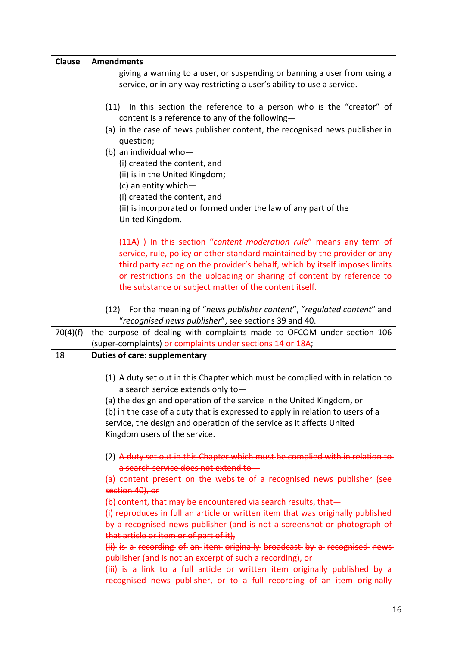| <b>Clause</b> | <b>Amendments</b>                                                                                                                                                                                                                                                                                                                                                   |
|---------------|---------------------------------------------------------------------------------------------------------------------------------------------------------------------------------------------------------------------------------------------------------------------------------------------------------------------------------------------------------------------|
|               | giving a warning to a user, or suspending or banning a user from using a<br>service, or in any way restricting a user's ability to use a service.                                                                                                                                                                                                                   |
|               | (11) In this section the reference to a person who is the "creator" of<br>content is a reference to any of the following-                                                                                                                                                                                                                                           |
|               | (a) in the case of news publisher content, the recognised news publisher in<br>question;                                                                                                                                                                                                                                                                            |
|               | (b) an individual who-                                                                                                                                                                                                                                                                                                                                              |
|               | (i) created the content, and                                                                                                                                                                                                                                                                                                                                        |
|               | (ii) is in the United Kingdom;                                                                                                                                                                                                                                                                                                                                      |
|               | (c) an entity which-<br>(i) created the content, and                                                                                                                                                                                                                                                                                                                |
|               | (ii) is incorporated or formed under the law of any part of the                                                                                                                                                                                                                                                                                                     |
|               | United Kingdom.                                                                                                                                                                                                                                                                                                                                                     |
|               | (11A) ) In this section "content moderation rule" means any term of<br>service, rule, policy or other standard maintained by the provider or any<br>third party acting on the provider's behalf, which by itself imposes limits<br>or restrictions on the uploading or sharing of content by reference to<br>the substance or subject matter of the content itself. |
|               |                                                                                                                                                                                                                                                                                                                                                                     |
|               | (12) For the meaning of "news publisher content", "regulated content" and<br>"recognised news publisher", see sections 39 and 40.                                                                                                                                                                                                                                   |
| 70(4)(f)      | the purpose of dealing with complaints made to OFCOM under section 106                                                                                                                                                                                                                                                                                              |
|               | (super-complaints) or complaints under sections 14 or 18A;                                                                                                                                                                                                                                                                                                          |
| 18            | <b>Duties of care: supplementary</b>                                                                                                                                                                                                                                                                                                                                |
|               | (1) A duty set out in this Chapter which must be complied with in relation to<br>a search service extends only to-                                                                                                                                                                                                                                                  |
|               | (a) the design and operation of the service in the United Kingdom, or                                                                                                                                                                                                                                                                                               |
|               | (b) in the case of a duty that is expressed to apply in relation to users of a                                                                                                                                                                                                                                                                                      |
|               | service, the design and operation of the service as it affects United<br>Kingdom users of the service.                                                                                                                                                                                                                                                              |
|               |                                                                                                                                                                                                                                                                                                                                                                     |
|               | (2) A duty set out in this Chapter which must be complied with in relation to<br>a search service does not extend to-                                                                                                                                                                                                                                               |
|               | (a) content present on the website of a recognised news publisher (see-<br>section 40), or                                                                                                                                                                                                                                                                          |
|               | (b) content, that may be encountered via search results, that-                                                                                                                                                                                                                                                                                                      |
|               | (i) reproduces in full an article or written item that was originally published                                                                                                                                                                                                                                                                                     |
|               | by a recognised news publisher (and is not a screenshot or photograph of<br>that article or item or of part of it),                                                                                                                                                                                                                                                 |
|               | (ii) is a recording of an item originally broadcast by a recognised news                                                                                                                                                                                                                                                                                            |
|               | publisher (and is not an excerpt of such a recording), or                                                                                                                                                                                                                                                                                                           |
|               | (iii) is a link to a full article or written item originally published by a                                                                                                                                                                                                                                                                                         |
|               | recognised news publisher, or to a full recording of an item originally                                                                                                                                                                                                                                                                                             |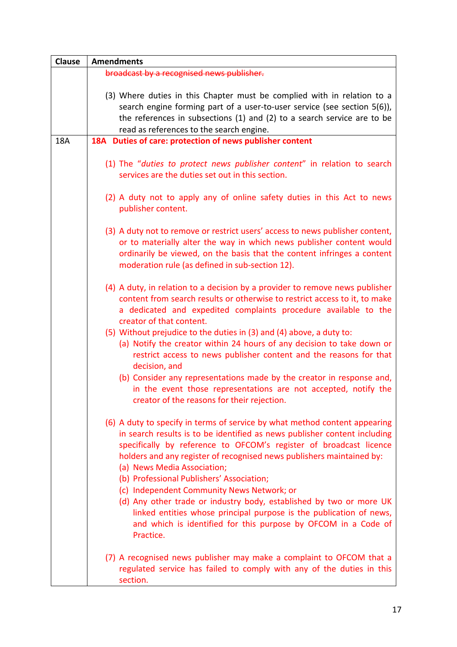| <b>Clause</b> | <b>Amendments</b>                                                                                                                                                                                                                                                                                                                                                                  |
|---------------|------------------------------------------------------------------------------------------------------------------------------------------------------------------------------------------------------------------------------------------------------------------------------------------------------------------------------------------------------------------------------------|
|               | broadcast by a recognised news publisher.                                                                                                                                                                                                                                                                                                                                          |
|               | (3) Where duties in this Chapter must be complied with in relation to a<br>search engine forming part of a user-to-user service (see section 5(6)),<br>the references in subsections (1) and (2) to a search service are to be<br>read as references to the search engine.                                                                                                         |
| <b>18A</b>    | 18A Duties of care: protection of news publisher content                                                                                                                                                                                                                                                                                                                           |
|               | (1) The "duties to protect news publisher content" in relation to search<br>services are the duties set out in this section.<br>(2) A duty not to apply any of online safety duties in this Act to news                                                                                                                                                                            |
|               | publisher content.                                                                                                                                                                                                                                                                                                                                                                 |
|               | (3) A duty not to remove or restrict users' access to news publisher content,<br>or to materially alter the way in which news publisher content would<br>ordinarily be viewed, on the basis that the content infringes a content<br>moderation rule (as defined in sub-section 12).                                                                                                |
|               | (4) A duty, in relation to a decision by a provider to remove news publisher<br>content from search results or otherwise to restrict access to it, to make<br>a dedicated and expedited complaints procedure available to the<br>creator of that content.                                                                                                                          |
|               | (5) Without prejudice to the duties in (3) and (4) above, a duty to:<br>(a) Notify the creator within 24 hours of any decision to take down or<br>restrict access to news publisher content and the reasons for that<br>decision, and                                                                                                                                              |
|               | (b) Consider any representations made by the creator in response and,<br>in the event those representations are not accepted, notify the<br>creator of the reasons for their rejection.                                                                                                                                                                                            |
|               | (6) A duty to specify in terms of service by what method content appearing<br>in search results is to be identified as news publisher content including<br>specifically by reference to OFCOM's register of broadcast licence<br>holders and any register of recognised news publishers maintained by:<br>(a) News Media Association;<br>(b) Professional Publishers' Association; |
|               | (c) Independent Community News Network; or<br>(d) Any other trade or industry body, established by two or more UK<br>linked entities whose principal purpose is the publication of news,<br>and which is identified for this purpose by OFCOM in a Code of<br>Practice.                                                                                                            |
|               | (7) A recognised news publisher may make a complaint to OFCOM that a<br>regulated service has failed to comply with any of the duties in this<br>section.                                                                                                                                                                                                                          |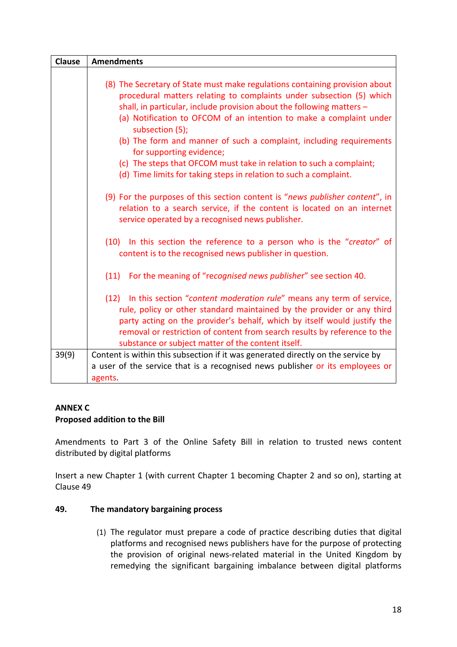| <b>Clause</b> | <b>Amendments</b>                                                                                                                                                                                                                                                                                                                                                  |
|---------------|--------------------------------------------------------------------------------------------------------------------------------------------------------------------------------------------------------------------------------------------------------------------------------------------------------------------------------------------------------------------|
|               |                                                                                                                                                                                                                                                                                                                                                                    |
|               | (8) The Secretary of State must make regulations containing provision about<br>procedural matters relating to complaints under subsection (5) which<br>shall, in particular, include provision about the following matters -                                                                                                                                       |
|               | (a) Notification to OFCOM of an intention to make a complaint under<br>subsection (5);                                                                                                                                                                                                                                                                             |
|               | (b) The form and manner of such a complaint, including requirements<br>for supporting evidence;                                                                                                                                                                                                                                                                    |
|               | (c) The steps that OFCOM must take in relation to such a complaint;<br>(d) Time limits for taking steps in relation to such a complaint.                                                                                                                                                                                                                           |
|               | (9) For the purposes of this section content is "news publisher content", in<br>relation to a search service, if the content is located on an internet<br>service operated by a recognised news publisher.                                                                                                                                                         |
|               | (10) In this section the reference to a person who is the "creator" of<br>content is to the recognised news publisher in question.                                                                                                                                                                                                                                 |
|               | For the meaning of "recognised news publisher" see section 40.<br>(11)                                                                                                                                                                                                                                                                                             |
|               | (12) In this section "content moderation rule" means any term of service,<br>rule, policy or other standard maintained by the provider or any third<br>party acting on the provider's behalf, which by itself would justify the<br>removal or restriction of content from search results by reference to the<br>substance or subject matter of the content itself. |
| 39(9)         | Content is within this subsection if it was generated directly on the service by                                                                                                                                                                                                                                                                                   |
|               | a user of the service that is a recognised news publisher or its employees or                                                                                                                                                                                                                                                                                      |
|               | agents.                                                                                                                                                                                                                                                                                                                                                            |

## **ANNEX C**

## **Proposed addition to the Bill**

Amendments to Part 3 of the Online Safety Bill in relation to trusted news content distributed by digital platforms

Insert a new Chapter 1 (with current Chapter 1 becoming Chapter 2 and so on), starting at Clause 49

## **49. The mandatory bargaining process**

(1) The regulator must prepare a code of practice describing duties that digital platforms and recognised news publishers have for the purpose of protecting the provision of original news-related material in the United Kingdom by remedying the significant bargaining imbalance between digital platforms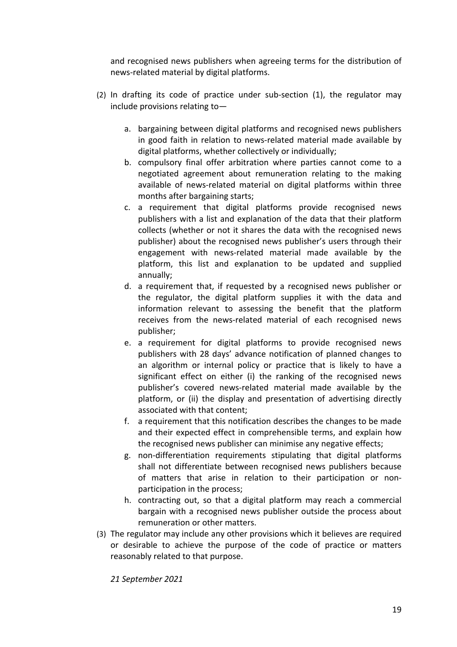and recognised news publishers when agreeing terms for the distribution of news-related material by digital platforms.

- (2) In drafting its code of practice under sub-section (1), the regulator may include provisions relating to
	- a. bargaining between digital platforms and recognised news publishers in good faith in relation to news-related material made available by digital platforms, whether collectively or individually;
	- b. compulsory final offer arbitration where parties cannot come to a negotiated agreement about remuneration relating to the making available of news-related material on digital platforms within three months after bargaining starts;
	- c. a requirement that digital platforms provide recognised news publishers with a list and explanation of the data that their platform collects (whether or not it shares the data with the recognised news publisher) about the recognised news publisher's users through their engagement with news-related material made available by the platform, this list and explanation to be updated and supplied annually;
	- d. a requirement that, if requested by a recognised news publisher or the regulator, the digital platform supplies it with the data and information relevant to assessing the benefit that the platform receives from the news-related material of each recognised news publisher;
	- e. a requirement for digital platforms to provide recognised news publishers with 28 days' advance notification of planned changes to an algorithm or internal policy or practice that is likely to have a significant effect on either (i) the ranking of the recognised news publisher's covered news-related material made available by the platform, or (ii) the display and presentation of advertising directly associated with that content;
	- f. a requirement that this notification describes the changes to be made and their expected effect in comprehensible terms, and explain how the recognised news publisher can minimise any negative effects;
	- g. non-differentiation requirements stipulating that digital platforms shall not differentiate between recognised news publishers because of matters that arise in relation to their participation or nonparticipation in the process;
	- h. contracting out, so that a digital platform may reach a commercial bargain with a recognised news publisher outside the process about remuneration or other matters.
- (3) The regulator may include any other provisions which it believes are required or desirable to achieve the purpose of the code of practice or matters reasonably related to that purpose.

*21 September 2021*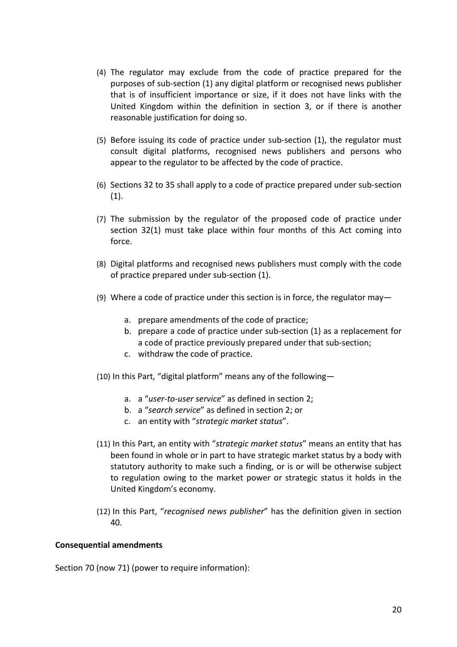- (4) The regulator may exclude from the code of practice prepared for the purposes of sub-section (1) any digital platform or recognised news publisher that is of insufficient importance or size, if it does not have links with the United Kingdom within the definition in section 3, or if there is another reasonable justification for doing so.
- (5) Before issuing its code of practice under sub-section (1), the regulator must consult digital platforms, recognised news publishers and persons who appear to the regulator to be affected by the code of practice.
- (6) Sections 32 to 35 shall apply to a code of practice prepared under sub-section  $(1)$ .
- (7) The submission by the regulator of the proposed code of practice under section 32(1) must take place within four months of this Act coming into force.
- (8) Digital platforms and recognised news publishers must comply with the code of practice prepared under sub-section (1).
- (9) Where a code of practice under this section is in force, the regulator may
	- a. prepare amendments of the code of practice;
	- b. prepare a code of practice under sub-section (1) as a replacement for a code of practice previously prepared under that sub-section;
	- c. withdraw the code of practice.
- (10) In this Part, "digital platform" means any of the following
	- a. a "*user-to-user service*" as defined in section 2;
	- b. a "*search service*" as defined in section 2; or
	- c. an entity with "*strategic market status*".
- (11) In this Part, an entity with "*strategic market status*" means an entity that has been found in whole or in part to have strategic market status by a body with statutory authority to make such a finding, or is or will be otherwise subject to regulation owing to the market power or strategic status it holds in the United Kingdom's economy.
- (12) In this Part, "*recognised news publisher*" has the definition given in section 40.

#### **Consequential amendments**

Section 70 (now 71) (power to require information):